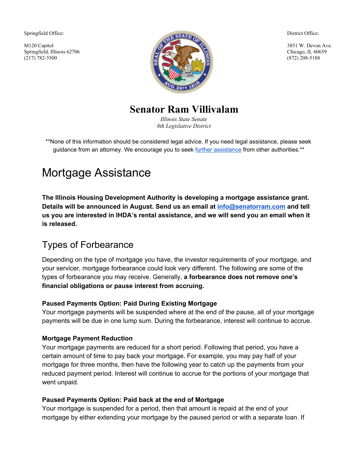Springfield Office:

M120 Capitol Springfield, Illinois 62706 (217) 782-5500



District Office:

3851 W. Devon Ave. Chicago, IL 60659 (872) 208-5188

**Senator Ram Villivalam**

*Illinois State Senate 8th Legislative District*

\*\*None of this information should be considered legal advice. If you need legal assistance, please seek guidance from an attorney. We encourage you to seek further [assistance](#page-1-0) from other authorities.\*\*

# Mortgage Assistance

**The Illinois Housing Development Authority is developing a mortgage assistance grant. Details will be announced in August. Send us an email at [info@senatorram.com](mailto:info@senatorram.com) and tell us you are interested in IHDA's rental assistance, and we will send you an email when it is released.**

# Types of Forbearance

Depending on the type of mortgage you have, the investor requirements of your mortgage, and your servicer, mortgage forbearance could look very different. The following are some of the types of forbearance you may receive. Generally, **a forbearance does not remove one's financial obligations or pause interest from accruing.**

#### **Paused Payments Option: Paid During Existing Mortgage**

Your mortgage payments will be suspended where at the end of the pause, all of your mortgage payments will be due in one lump sum. During the forbearance, interest will continue to accrue.

#### **Mortgage Payment Reduction**

Your mortgage payments are reduced for a short period. Following that period, you have a certain amount of time to pay back your mortgage. For example, you may pay half of your mortgage for three months, then have the following year to catch up the payments from your reduced payment period. Interest will continue to accrue for the portions of your mortgage that went unpaid.

#### **Paused Payments Option: Paid back at the end of Mortgage**

Your mortgage is suspended for a period, then that amount is repaid at the end of your mortgage by either extending your mortgage by the paused period or with a separate loan. If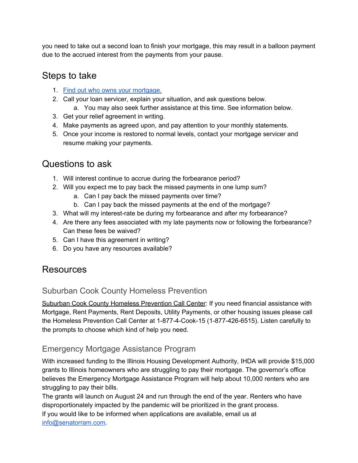you need to take out a second loan to finish your mortgage, this may result in a balloon payment due to the accrued interest from the payments from your pause.

## Steps to take

- 1. Find out who owns your [mortgage.](https://www.consumerfinance.gov/ask-cfpb/how-can-i-tell-who-owns-my-mortgage-en-214/)
- 2. Call your loan servicer, explain your situation, and ask questions below.
	- a. You may also seek further assistance at this time. See information below.
- 3. Get your relief agreement in writing.
- 4. Make payments as agreed upon, and pay attention to your monthly statements.
- 5. Once your income is restored to normal levels, contact your mortgage servicer and resume making your payments.

# Questions to ask

- 1. Will interest continue to accrue during the forbearance period?
- 2. Will you expect me to pay back the missed payments in one lump sum?
	- a. Can I pay back the missed payments over time?
	- b. Can I pay back the missed payments at the end of the mortgage?
- 3. What will my interest-rate be during my forbearance and after my forbearance?
- 4. Are there any fees associated with my late payments now or following the forbearance? Can these fees be waived?
- 5. Can I have this agreement in writing?
- 6. Do you have any resources available?

## <span id="page-1-0"></span>Resources

## Suburban Cook County Homeless Prevention

Suburban Cook County Homeless Prevention Call Center: If you need financial assistance with Mortgage, Rent Payments, Rent Deposits, Utility Payments, or other housing issues please call the Homeless Prevention Call Center at 1-877-4-Cook-15 (1-877-426-6515). Listen carefully to the prompts to choose which kind of help you need.

## Emergency Mortgage Assistance Program

With increased funding to the Illinois Housing Development Authority, IHDA will provide \$15,000 grants to Illinois homeowners who are struggling to pay their mortgage. The governor's office believes the Emergency Mortgage Assistance Program will help about 10,000 renters who are struggling to pay their bills.

The grants will launch on August 24 and run through the end of the year. Renters who have disproportionately impacted by the pandemic will be prioritized in the grant process. If you would like to be informed when applications are available, email us at [info@senatorram.com](mailto:info@senatorram.com).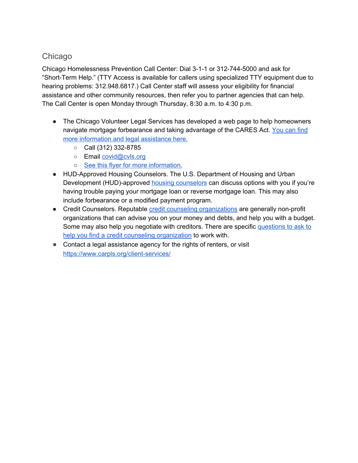### Chicago

Chicago Homelessness Prevention Call Center: Dial 3-1-1 or 312-744-5000 and ask for "Short-Term Help." (TTY Access is available for callers using specialized TTY equipment due to hearing problems: 312.948.6817.) Call Center staff will assess your eligibility for financial assistance and other community resources, then refer you to partner agencies that can help. The Call Center is open Monday through Thursday, 8:30 a.m. to 4:30 p.m.

- The Chicago Volunteer Legal Services has developed a web page to help homeowners navigate mortgage forbearance and taking advantage of the CARES Act. [You](https://www.cvls.org/get-legal-help/covid-19-relief/) can find more [information](https://www.cvls.org/get-legal-help/covid-19-relief/) and legal assistance here.
	- $\circ$  Call (312) 332-8785
	- o Email [covid@cvls.org](mailto:covid@cvls.org)
	- See this flyer for more [information.](https://drive.google.com/file/d/1n5G9hPvCRmDPbC7B8FDrcP6kt71fVeTm/view?usp=sharing)
- HUD-Approved Housing Counselors. The U.S. Department of Housing and Urban Development (HUD)-approved **housing [counselors](https://www.consumerfinance.gov/find-a-housing-counselor/)** can discuss options with you if you're having trouble paying your mortgage loan or reverse mortgage loan. This may also include [forbearance](https://www.consumerfinance.gov/ask-cfpb/what-is-forbearance-en-289/) or a modified payment program.
- Credit Counselors. Reputable credit counseling [organizations](https://www.consumerfinance.gov/ask-cfpb/what-is-credit-counseling-en-1451/) are generally non-profit organizations that can advise you on your money and debts, and help you with a budget. Some may also help you negotiate with creditors. There are specific [questions](https://www.consumerfinance.gov/ask-cfpb/what-is-credit-counseling-en-1451/) to ask to help you find a credit counseling [organization](https://www.consumerfinance.gov/ask-cfpb/what-is-credit-counseling-en-1451/) to work with.
- Contact a legal assistance agency for the rights of renters, or visit <https://www.carpls.org/client-services/>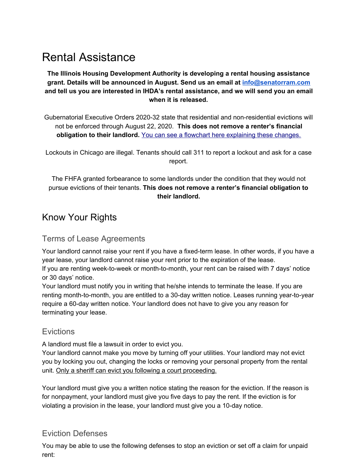# Rental Assistance

**The Illinois Housing Development Authority is developing a rental housing assistance grant. Details will be announced in August. Send us an email at [info@senatorram.com](mailto:info@senatorram.com) and tell us you are interested in IHDA's rental assistance, and we will send you an email when it is released.**

Gubernatorial Executive Orders 2020-32 state that residential and non-residential evictions will not be enforced through August 22, 2020. **This does not remove a renter's financial obligation to their landlord.** You can see a flowchart here [explaining](https://drive.google.com/open?id=1l3qPIPD2HNHlK09pBUmY72JVwY-_WSiz) these changes.

Lockouts in Chicago are illegal. Tenants should call 311 to report a lockout and ask for a case report.

The FHFA granted forbearance to some landlords under the condition that they would not pursue evictions of their tenants. **This does not remove a renter's financial obligation to their landlord.**

## Know Your Rights

#### Terms of Lease Agreements

Your landlord cannot raise your rent if you have a fixed-term lease. In other words, if you have a year lease, your landlord cannot raise your rent prior to the expiration of the lease.

If you are renting week-to-week or month-to-month, your rent can be raised with 7 days' notice or 30 days' notice.

Your landlord must notify you in writing that he/she intends to terminate the lease. If you are renting month-to-month, you are entitled to a 30-day written notice. Leases running year-to-year require a 60-day written notice. Your landlord does not have to give you any reason for terminating your lease.

#### **Evictions**

A landlord must file a lawsuit in order to evict you.

Your landlord cannot make you move by turning off your utilities. Your landlord may not evict you by locking you out, changing the locks or removing your personal property from the rental unit. Only a sheriff can evict you following a court proceeding.

Your landlord must give you a written notice stating the reason for the eviction. If the reason is for nonpayment, your landlord must give you five days to pay the rent. If the eviction is for violating a provision in the lease, your landlord must give you a 10-day notice.

### Eviction Defenses

You may be able to use the following defenses to stop an eviction or set off a claim for unpaid rent: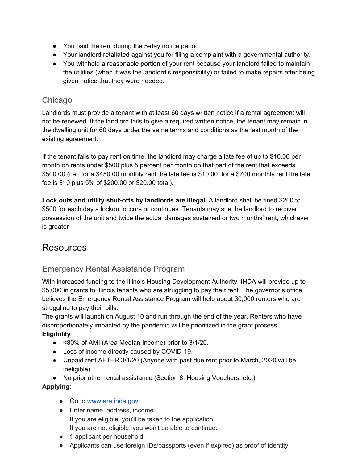- You paid the rent during the 5-day notice period.
- Your landlord retaliated against you for filing a complaint with a governmental authority.
- You withheld a reasonable portion of your rent because your landlord failed to maintain the utilities (when it was the landlord's responsibility) or failed to make repairs after being given notice that they were needed.

#### Chicago

Landlords must provide a tenant with at least 60 days written notice if a rental agreement will not be renewed. If the landlord fails to give a required written notice, the tenant may remain in the dwelling unit for 60 days under the same terms and conditions as the last month of the existing agreement.

If the tenant fails to pay rent on time, the landlord may charge a late fee of up to \$10.00 per month on rents under \$500 plus 5 percent per month on that part of the rent that exceeds \$500.00 (i.e., for a \$450.00 monthly rent the late fee is \$10.00, for a \$700 monthly rent the late fee is \$10 plus 5% of \$200.00 or \$20.00 total).

**Lock outs and utility shut-offs by landlords are illegal.** A landlord shall be fined \$200 to \$500 for each day a lockout occurs or continues. Tenants may sue the landlord to recover possession of the unit and twice the actual damages sustained or two months' rent, whichever is greater

## Resources

### Emergency Rental Assistance Program

With increased funding to the Illinois Housing Development Authority, IHDA will provide up to \$5,000 in grants to Illinois tenants who are struggling to pay their rent. The governor's office believes the Emergency Rental Assistance Program will help about 30,000 renters who are struggling to pay their bills.

The grants will launch on August 10 and run through the end of the year. Renters who have disproportionately impacted by the pandemic will be prioritized in the grant process. **Eligibility**

- <80% of AMI (Area Median Income) prior to 3/1/20.
- Loss of income directly caused by COVID-19.
- Unpaid rent AFTER 3/1/20 (Anyone with past due rent prior to March, 2020 will be ineligible)

• No prior other rental assistance (Section 8, Housing Vouchers, etc.)

#### **Applying:**

- Go to [www.era.ihda.gov](http://www.era.ihda.gov/)
- Enter name, address, income. If you are eligible, you'll be taken to the application. If you are not eligible, you won't be able to continue.
- 1 applicant per household
- Applicants can use foreign IDs/passports (even if expired) as proof of identity.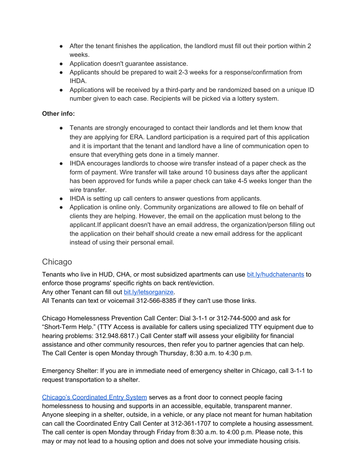- After the tenant finishes the application, the landlord must fill out their portion within 2 weeks.
- Application doesn't guarantee assistance.
- Applicants should be prepared to wait 2-3 weeks for a response/confirmation from IHDA.
- Applications will be received by a third-party and be randomized based on a unique ID number given to each case. Recipients will be picked via a lottery system.

#### **Other info:**

- Tenants are strongly encouraged to contact their landlords and let them know that they are applying for ERA. Landlord participation is a required part of this application and it is important that the tenant and landlord have a line of communication open to ensure that everything gets done in a timely manner.
- IHDA encourages landlords to choose wire transfer instead of a paper check as the form of payment. Wire transfer will take around 10 business days after the applicant has been approved for funds while a paper check can take 4-5 weeks longer than the wire transfer.
- IHDA is setting up call centers to answer questions from applicants.
- Application is online only. Community organizations are allowed to file on behalf of clients they are helping. However, the email on the application must belong to the applicant.If applicant doesn't have an email address, the organization/person filling out the application on their behalf should create a new email address for the applicant instead of using their personal email.

### Chicago

Tenants who live in HUD, CHA, or most subsidized apartments can use [bit.ly/hudchatenants](https://onenorthside.ourpowerbase.net/sites/all/modules/civicrm/extern/url.php?u=6540&qid=1495780) to enforce those programs' specific rights on back rent/eviction.

Any other Tenant can fill out [bit.ly/letsorganize.](https://onenorthside.ourpowerbase.net/sites/all/modules/civicrm/extern/url.php?u=6541&qid=1495780)

All Tenants can text or voicemail 312-566-8385 if they can't use those links.

Chicago Homelessness Prevention Call Center: Dial 3-1-1 or 312-744-5000 and ask for "Short-Term Help." (TTY Access is available for callers using specialized TTY equipment due to hearing problems: 312.948.6817.) Call Center staff will assess your eligibility for financial assistance and other community resources, then refer you to partner agencies that can help. The Call Center is open Monday through Thursday, 8:30 a.m. to 4:30 p.m.

Emergency Shelter: If you are in immediate need of emergency shelter in Chicago, call 3-1-1 to request transportation to a shelter.

Chicago's [Coordinated](http://www.csh.org/access) Entry System serves as a front door to connect people facing homelessness to housing and supports in an accessible, equitable, transparent manner. Anyone sleeping in a shelter, outside, in a vehicle, or any place not meant for human habitation can call the Coordinated Entry Call Center at 312-361-1707 to complete a housing assessment. The call center is open Monday through Friday from 8:30 a.m. to 4:00 p.m. Please note, this may or may not lead to a housing option and does not solve your immediate housing crisis.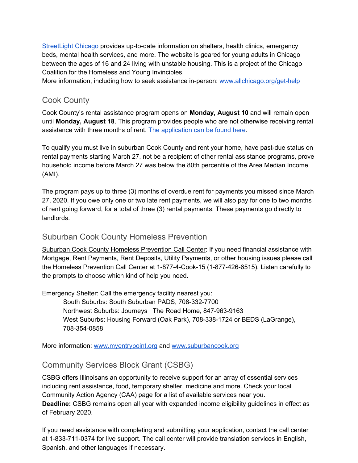[StreetLight](http://streetlightchicago.org/) Chicago provides up-to-date information on shelters, health clinics, emergency beds, mental health services, and more. The website is geared for young adults in Chicago between the ages of 16 and 24 living with unstable housing. This is a project of the Chicago Coalition for the Homeless and Young Invincibles.

More information, including how to seek assistance in-person: [www.allchicago.org/get-help](http://www.allchicago.org/get-help)

### Cook County

Cook County's rental assistance program opens on **Monday, August 10** and will remain open until **Monday, August 18**. This program provides people who are not otherwise receiving rental assistance with three months of rent. The [application](https://www.cookcountyil.gov/service/covid-19-recovery-rental-assistance-program) can be found here.

To qualify you must live in suburban Cook County and rent your home, have past-due status on rental payments starting March 27, not be a recipient of other rental assistance programs, prove household income before March 27 was below the 80th percentile of the Area Median Income (AMI).

The program pays up to three (3) months of overdue rent for payments you missed since March 27, 2020. If you owe only one or two late rent payments, we will also pay for one to two months of rent going forward, for a total of three (3) rental payments. These payments go directly to landlords.

#### Suburban Cook County Homeless Prevention

Suburban Cook County Homeless Prevention Call Center: If you need financial assistance with Mortgage, Rent Payments, Rent Deposits, Utility Payments, or other housing issues please call the Homeless Prevention Call Center at 1-877-4-Cook-15 (1-877-426-6515). Listen carefully to the prompts to choose which kind of help you need.

Emergency Shelter: Call the emergency facility nearest you:

South Suburbs: South Suburban PADS, 708-332-7700 Northwest Suburbs: Journeys | The Road Home, 847-963-9163 West Suburbs: Housing Forward (Oak Park), 708-338-1724 or BEDS (LaGrange), 708-354-0858

More information: [www.myentrypoint.org](http://www.myentrypoint.org/) and [www.suburbancook.org](http://www.suburbancook.org/)

### Community Services Block Grant (CSBG)

CSBG offers Illinoisans an opportunity to receive support for an array of essential services including rent assistance, food, temporary shelter, medicine and more. Check your local Community Action Agency (CAA) page for a list of available services near you. **Deadline:** CSBG remains open all year with expanded income eligibility guidelines in effect as of February 2020.

If you need assistance with completing and submitting your application, contact the call center at 1-833-711-0374 for live support. The call center will provide translation services in English, Spanish, and other languages if necessary.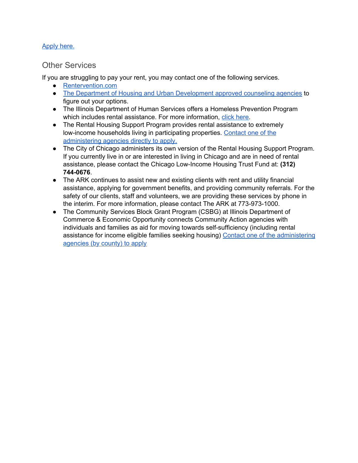#### [Apply](https://www2.illinois.gov/dceo/CommunityServices/HomeWeatherization/CommunityActionAgencies/Pages/helpIllinoisFamilies.aspx) here.

#### Other Services

If you are struggling to pay your rent, you may contact one of the following services.

- [Rentervention.com](http://rentervention.com/)
- The Department of Housing and Urban [Development](https://apps.hud.gov/offices/hsg/sfh/hcc/hcs.cfm?&webListAction=search&searchstate=IL) approved counseling agencies to figure out your options.
- The Illinois Department of Human Services offers a Homeless Prevention Program which includes rental assistance. For more information, click [here.](https://www.dhs.state.il.us/page.aspx?item=110583)
- The Rental Housing Support Program provides rental assistance to extremely low-income households living in participating properties. [Contact](https://www.ihda.org/rental-housing/) one of the [administering](https://www.ihda.org/rental-housing/) agencies directly to apply.
- The City of Chicago administers its own version of the Rental Housing Support Program. If you currently live in or are interested in living in Chicago and are in need of rental assistance, please contact the Chicago Low-Income Housing Trust Fund at: **(312) 744-0676**.
- The ARK continues to assist new and existing clients with rent and utility financial assistance, applying for government benefits, and providing community referrals. For the safety of our clients, staff and volunteers, we are providing these services by phone in the interim. For more information, please contact The ARK at 773-973-1000.
- The Community Services Block Grant Program (CSBG) at Illinois Department of Commerce & Economic Opportunity connects Community Action agencies with individuals and families as aid for moving towards self-sufficiency (including rental assistance for income eligible families seeking housing) Contact one of the [administering](https://www2.illinois.gov/dceo/CommunityServices/HomeWeatherization/CommunityActionAgencies/Pages/default.aspx) [agencies](https://www2.illinois.gov/dceo/CommunityServices/HomeWeatherization/CommunityActionAgencies/Pages/default.aspx) (by county) to apply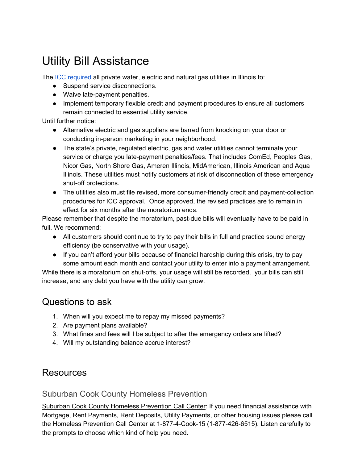# Utility Bill Assistance

The ICC [required](https://www.citizensutilityboard.org/wp-content/uploads/2020/03/20-0309-Emergency-Order-re-Disconnections-Covid.pdf) all private water, electric and natural gas utilities in Illinois to:

- Suspend service disconnections.
- Waive late-payment penalties.
- Implement temporary flexible credit and payment procedures to ensure all customers remain connected to essential utility service.

Until further notice:

- Alternative electric and gas suppliers are barred from knocking on your door or conducting in-person marketing in your neighborhood.
- The state's private, regulated electric, gas and water utilities cannot terminate your service or charge you late-payment penalties/fees. That includes ComEd, Peoples Gas, Nicor Gas, North Shore Gas, Ameren Illinois, MidAmerican, Illinois American and Aqua Illinois. These utilities must notify customers at risk of disconnection of these emergency shut-off protections.
- The utilities also must file revised, more consumer-friendly credit and payment-collection procedures for ICC approval. Once approved, the revised practices are to remain in effect for six months after the moratorium ends.

Please remember that despite the moratorium, past-due bills will eventually have to be paid in full. We recommend:

- All customers should continue to try to pay their bills in full and practice sound energy efficiency (be conservative with your usage).
- If you can't afford your bills because of financial hardship during this crisis, try to pay some amount each month and contact your utility to enter into a payment arrangement.

While there is a moratorium on shut-offs, your usage will still be recorded, your bills can still increase, and any debt you have with the utility can grow.

# Questions to ask

- 1. When will you expect me to repay my missed payments?
- 2. Are payment plans available?
- 3. What fines and fees will I be subject to after the emergency orders are lifted?
- 4. Will my outstanding balance accrue interest?

## Resources

#### Suburban Cook County Homeless Prevention

Suburban Cook County Homeless Prevention Call Center: If you need financial assistance with Mortgage, Rent Payments, Rent Deposits, Utility Payments, or other housing issues please call the Homeless Prevention Call Center at 1-877-4-Cook-15 (1-877-426-6515). Listen carefully to the prompts to choose which kind of help you need.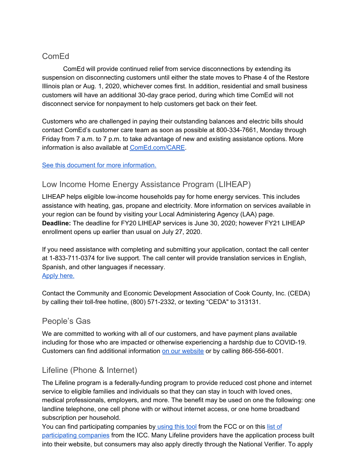### ComEd

ComEd will provide continued relief from service disconnections by extending its suspension on disconnecting customers until either the state moves to Phase 4 of the Restore Illinois plan or Aug. 1, 2020, whichever comes first. In addition, residential and small business customers will have an additional 30-day grace period, during which time ComEd will not disconnect service for nonpayment to help customers get back on their feet.

Customers who are challenged in paying their outstanding balances and electric bills should contact ComEd's customer care team as soon as possible at 800-334-7661, Monday through Friday from 7 a.m. to 7 p.m. to take advantage of new and existing assistance options. More information is also available at [ComEd.com/CARE](http://comed.com/CARE).

#### See this document for more [information.](https://drive.google.com/file/d/1LPY689229L5MQeyu5TW7n5xecaDXoX3e/view?usp=sharing)

### Low Income Home Energy Assistance Program (LIHEAP)

LIHEAP helps eligible low-income households pay for home energy services. This includes assistance with heating, gas, propane and electricity. More information on services available in your region can be found by visiting your Local Administering Agency (LAA) page. **Deadline:** The deadline for FY20 LIHEAP services is June 30, 2020; however FY21 LIHEAP enrollment opens up earlier than usual on July 27, 2020.

If you need assistance with completing and submitting your application, contact the call center at 1-833-711-0374 for live support. The call center will provide translation services in English, Spanish, and other languages if necessary. [Apply](https://www2.illinois.gov/dceo/CommunityServices/HomeWeatherization/CommunityActionAgencies/Pages/helpIllinoisFamilies.aspx) here.

Contact the Community and Economic Development Association of Cook County, Inc. (CEDA) by calling their toll-free hotline, (800) 571-2332, or texting "CEDA" to 313131.

### People's Gas

We are committed to working with all of our customers, and have payment plans available including for those who are impacted or otherwise experiencing a hardship due to COVID-19. Customers can find additional information on our [website](https://accel.peoplesgasdelivery.com/home/arrangements.aspx) or by calling 866-556-6001.

## Lifeline (Phone & Internet)

The Lifeline program is a federally-funding program to provide reduced cost phone and internet service to eligible families and individuals so that they can stay in touch with loved ones, medical professionals, employers, and more. The benefit may be used on one the following: one landline telephone, one cell phone with or without internet access, or one home broadband subscription per household.

You can find participating companies by [using](https://marjoriecommunications.us4.list-manage.com/track/click?u=1ddc5e53f4bad1031a01384fe&id=2968cdb6b3&e=7b4aa491e7) this tool from the FCC or on this [list](https://marjoriecommunications.us4.list-manage.com/track/click?u=1ddc5e53f4bad1031a01384fe&id=f893f76cd2&e=7b4aa491e7) of [participating](https://marjoriecommunications.us4.list-manage.com/track/click?u=1ddc5e53f4bad1031a01384fe&id=f893f76cd2&e=7b4aa491e7) companies from the ICC. Many Lifeline providers have the application process built into their website, but consumers may also apply directly through the National Verifier. To apply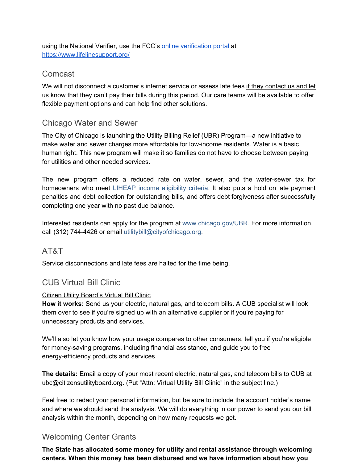using the National Verifier, use the FCC's online [verification](https://marjoriecommunications.us4.list-manage.com/track/click?u=1ddc5e53f4bad1031a01384fe&id=338afc3535&e=7b4aa491e7) portal at [https://www.lifelinesupport.org/](https://marjoriecommunications.us4.list-manage.com/track/click?u=1ddc5e53f4bad1031a01384fe&id=b128c43506&e=7b4aa491e7)

### Comcast

We will not disconnect a customer's internet service or assess late fees if they contact us and let us know that they can't pay their bills during this period. Our care teams will be available to offer flexible payment options and can help find other solutions.

### Chicago Water and Sewer

The City of Chicago is launching the Utility Billing Relief (UBR) Program—a new initiative to make water and sewer charges more affordable for low-income residents. Water is a basic human right. This new program will make it so families do not have to choose between paying for utilities and other needed services.

The new program offers a reduced rate on water, sewer, and the water-sewer tax for homeowners who meet **LIHEAP** income [eligibility](https://50thwardchicago.us2.list-manage.com/track/click?u=fe0fd833e900e534be0deac93&id=22cfc8644d&e=d7431dc9b2) criteria. It also puts a hold on late payment penalties and debt collection for outstanding bills, and offers debt forgiveness after successfully completing one year with no past due balance.

Interested residents can apply for the program at [www.chicago.gov/UBR.](https://50thwardchicago.us2.list-manage.com/track/click?u=fe0fd833e900e534be0deac93&id=021f65d3f2&e=d7431dc9b2) For more information, call (312) 744-4426 or email utilitybill@cityofchicago.org.

#### AT&T

Service disconnections and late fees are halted for the time being.

## CUB Virtual Bill Clinic

#### Citizen Utility Board's Virtual Bill Clinic

**How it works:** Send us your electric, natural gas, and telecom bills. A CUB specialist will look them over to see if you're signed up with an alternative supplier or if you're paying for unnecessary products and services.

We'll also let you know how your usage compares to other consumers, tell you if you're eligible for money-saving programs, including financial assistance, and guide you to free energy-efficiency products and services.

**The details:** Email a copy of your most recent electric, natural gas, and telecom bills to CUB at ubc@citizensutilityboard.org. (Put "Attn: Virtual Utility Bill Clinic" in the subject line.)

Feel free to redact your personal information, but be sure to include the account holder's name and where we should send the analysis. We will do everything in our power to send you our bill analysis within the month, depending on how many requests we get.

## Welcoming Center Grants

**The State has allocated some money for utility and rental assistance through welcoming centers. When this money has been disbursed and we have information about how you**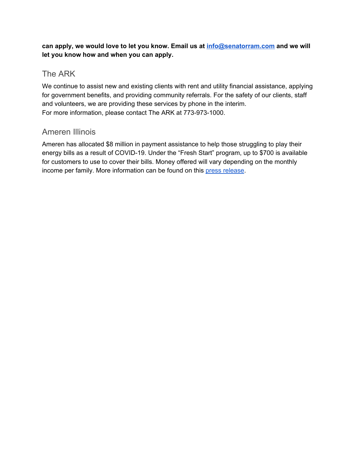**can apply, we would love to let you know. Email us at [info@senatorram.com](mailto:info@senatorram.com) and we will let you know how and when you can apply.**

### The ARK

We continue to assist new and existing clients with rent and utility financial assistance, applying for government benefits, and providing community referrals. For the safety of our clients, staff and volunteers, we are providing these services by phone in the interim. For more information, please contact The ARK at 773-973-1000.

### Ameren Illinois

Ameren has allocated \$8 million in payment assistance to help those struggling to play their energy bills as a result of COVID-19. Under the "Fresh Start" program, up to \$700 is available for customers to use to cover their bills. Money offered will vary depending on the monthly income per family. More information can be found on this press [release.](https://drive.google.com/file/d/10NJueoY6d3Mvq4PWzDJUvuVy5k6LbU3y/view)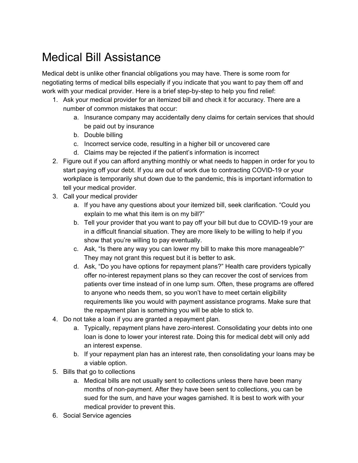# Medical Bill Assistance

Medical debt is unlike other financial obligations you may have. There is some room for negotiating terms of medical bills especially if you indicate that you want to pay them off and work with your medical provider. Here is a brief step-by-step to help you find relief:

- 1. Ask your medical provider for an itemized bill and check it for accuracy. There are a number of common mistakes that occur:
	- a. Insurance company may accidentally deny claims for certain services that should be paid out by insurance
	- b. Double billing
	- c. Incorrect service code, resulting in a higher bill or uncovered care
	- d. Claims may be rejected if the patient's information is incorrect
- 2. Figure out if you can afford anything monthly or what needs to happen in order for you to start paying off your debt. If you are out of work due to contracting COVID-19 or your workplace is temporarily shut down due to the pandemic, this is important information to tell your medical provider.
- 3. Call your medical provider
	- a. If you have any questions about your itemized bill, seek clarification. "Could you explain to me what this item is on my bill?"
	- b. Tell your provider that you want to pay off your bill but due to COVID-19 your are in a difficult financial situation. They are more likely to be willing to help if you show that you're willing to pay eventually.
	- c. Ask, "Is there any way you can lower my bill to make this more manageable?" They may not grant this request but it is better to ask.
	- d. Ask, "Do you have options for repayment plans?" Health care providers typically offer no-interest repayment plans so they can recover the cost of services from patients over time instead of in one lump sum. Often, these programs are offered to anyone who needs them, so you won't have to meet certain eligibility requirements like you would with payment assistance programs. Make sure that the repayment plan is something you will be able to stick to.
- 4. Do not take a loan if you are granted a repayment plan.
	- a. Typically, repayment plans have zero-interest. Consolidating your debts into one loan is done to lower your interest rate. Doing this for medical debt will only add an interest expense.
	- b. If your repayment plan has an interest rate, then consolidating your loans may be a viable option.
- 5. Bills that go to collections
	- a. Medical bills are not usually sent to collections unless there have been many months of non-payment. After they have been sent to collections, you can be sued for the sum, and have your wages garnished. It is best to work with your medical provider to prevent this.
- 6. Social Service agencies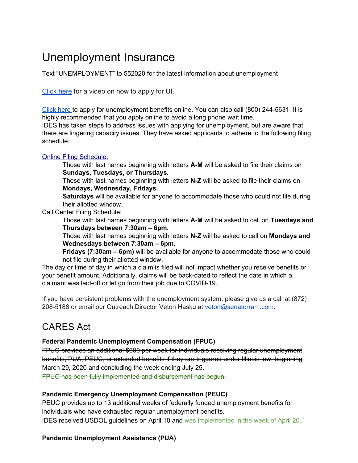# Unemployment Insurance

Text "UNEMPLOYMENT" to 552020 for the latest information about unemployment

[Click](https://www.youtube.com/watch?v=MZT9X2Cs96k&t=389s) here for a video on how to apply for UI.

[Click](https://www2.illinois.gov/ides/individuals/UnemploymentInsurance) here to apply for unemployment benefits online. You can also call (800) 244-5631. It is highly recommended that you apply online to avoid a long phone wait time.

IDES has taken steps to address issues with applying for unemployment, but are aware that there are lingering capacity issues. They have asked applicants to adhere to the following filing schedule:

#### Online Filing [Schedule:](https://drive.google.com/open?id=1_vdtxzIjKHyVWQ6hRtSC6qqIqwluZFqz)

Those with last names beginning with letters **A-M** will be asked to file their claims on **Sundays, Tuesdays, or Thursdays.**

Those with last names beginning with letters **N-Z** will be asked to file their claims on **Mondays, Wednesday, Fridays.**

**Saturdays** will be available for anyone to accommodate those who could not file during their allotted window.

Call Center Filing Schedule:

Those with last names beginning with letters **A-M** will be asked to call on **Tuesdays and Thursdays between 7:30am – 6pm.**

Those with last names beginning with letters **N-Z** will be asked to call on **Mondays and Wednesdays between 7:30am – 6pm.**

**Fridays (7:30am – 6pm)** will be available for anyone to accommodate those who could not file during their allotted window.

The day or time of day in which a claim is filed will not impact whether you receive benefits or your benefit amount. Additionally, claims will be back-dated to reflect the date in which a claimant was laid-off or let go from their job due to COVID-19.

If you have persistent problems with the unemployment system, please give us a call at (872) 208-5188 or email our Outreach Director Veton Hasku at veton@senatorram.com.

## CARES Act

#### **Federal Pandemic Unemployment Compensation (FPUC)**

FPUC provides an additional \$600 per week for individuals receiving regular unemployment benefits, PUA, PEUC, or extended benefits if they are triggered under Illinois law, beginning March 29, 2020 and concluding the week ending July 25.

FPUC has been fully implemented and disbursement has begun.

#### **Pandemic Emergency Unemployment Compensation (PEUC)**

PEUC provides up to 13 additional weeks of federally funded unemployment benefits for individuals who have exhausted regular unemployment benefits. IDES received USDOL guidelines on April 10 and was implemented in the week of April 20.

#### **Pandemic Unemployment Assistance (PUA)**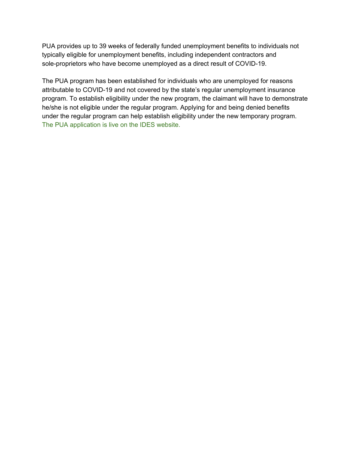PUA provides up to 39 weeks of federally funded unemployment benefits to individuals not typically eligible for unemployment benefits, including independent contractors and sole-proprietors who have become unemployed as a direct result of COVID-19.

The PUA program has been established for individuals who are unemployed for reasons attributable to COVID-19 and not covered by the state's regular unemployment insurance program. To establish eligibility under the new program, the claimant will have to demonstrate he/she is not eligible under the regular program. Applying for and being denied benefits under the regular program can help establish eligibility under the new temporary program. The PUA application is live on the IDES website.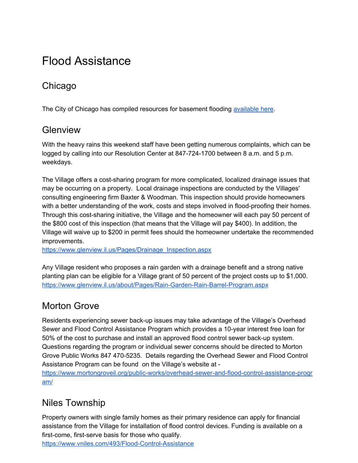# Flood Assistance

# Chicago

The City of Chicago has compiled resources for basement flooding [available](https://www.chicago.gov/city/en/depts/water/supp_info/basement_floodingpartnership.html) here.

## **Glenview**

With the heavy rains this weekend staff have been getting numerous complaints, which can be logged by calling into our Resolution Center at 847-724-1700 between 8 a.m. and 5 p.m. weekdays.

The Village offers a cost-sharing program for more complicated, localized drainage issues that may be occurring on a property. Local drainage inspections are conducted by the Villages' consulting engineering firm Baxter & Woodman. This inspection should provide homeowners with a better understanding of the work, costs and steps involved in flood-proofing their homes. Through this cost-sharing initiative, the Village and the homeowner will each pay 50 percent of the \$800 cost of this inspection (that means that the Village will pay \$400). In addition, the Village will waive up to \$200 in permit fees should the homeowner undertake the recommended improvements.

[https://www.glenview.il.us/Pages/Drainage\\_Inspection.aspx](https://www.glenview.il.us/Pages/Drainage_Inspection.aspx)

Any Village resident who proposes a rain garden with a drainage benefit and a strong native planting plan can be eligible for a Village grant of 50 percent of the project costs up to \$1,000. <https://www.glenview.il.us/about/Pages/Rain-Garden-Rain-Barrel-Program.aspx>

# Morton Grove

Residents experiencing sewer back-up issues may take advantage of the Village's Overhead Sewer and Flood Control Assistance Program which provides a 10-year interest free loan for 50% of the cost to purchase and install an approved flood control sewer back-up system. Questions regarding the program or individual sewer concerns should be directed to Morton Grove Public Works 847 470-5235. Details regarding the Overhead Sewer and Flood Control Assistance Program can be found on the Village's website at -

[https://www.mortongroveil.org/public-works/overhead-sewer-and-flood-control-assistance-progr](https://www.mortongroveil.org/public-works/overhead-sewer-and-flood-control-assistance-program/) [am/](https://www.mortongroveil.org/public-works/overhead-sewer-and-flood-control-assistance-program/)

# Niles Township

Property owners with single family homes as their primary residence can apply for financial assistance from the Village for installation of flood control devices. Funding is available on a first-come, first-serve basis for those who qualify.

<https://www.vniles.com/493/Flood-Control-Assistance>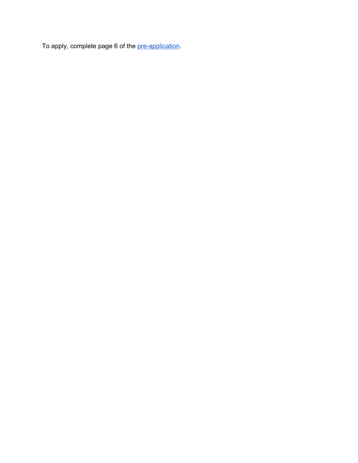To apply, complete page 6 of the [pre-application.](https://www.vniles.com/DocumentCenter/View/2498/Flood-Control-Assistance-Forms3?bidId=)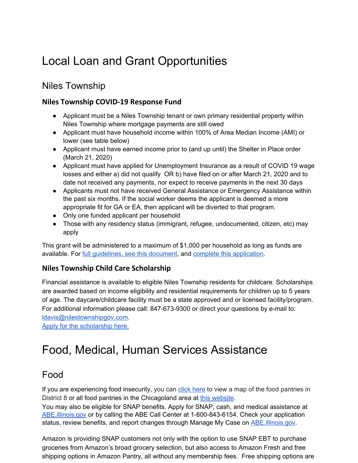# Local Loan and Grant Opportunities

## Niles Township

#### **Niles Township COVID-19 Response Fund**

- Applicant must be a Niles Township tenant or own primary residential property within Niles Township where mortgage payments are still owed
- Applicant must have household income within 100% of Area Median Income (AMI) or lower (see table below)
- Applicant must have earned income prior to (and up until) the Shelter in Place order (March 21, 2020)
- Applicant must have applied for Unemployment Insurance as a result of COVID 19 wage losses and either a) did not qualify OR b) have filed on or after March 21, 2020 and to date not received any payments, nor expect to receive payments in the next 30 days
- Applicants must not have received General Assistance or Emergency Assistance within the past six months. If the social worker deems the applicant is deemed a more appropriate fit for GA or EA, then applicant will be diverted to that program.
- Only one funded applicant per household
- Those with any residency status (immigrant, refugee, undocumented, citizen, etc) may apply

This grant will be administered to a maximum of \$1,000 per household as long as funds are available. For full quidelines, see this document, and complete this [application.](https://drive.google.com/file/d/1m07YEuiuhA34wjhoYvvqpBFvBAvwdiVJ/view?usp=sharing)

#### **Niles Township Child Care Scholarship**

Financial assistance is available to eligible Niles Township residents for childcare. Scholarships are awarded based on income eligibility and residential requirements for children up to 5 years of age. The daycare/childcare facility must be a state approved and or licensed facility/program. For additional information please call: 847-673-9300 or direct your questions by e-mail to: [ldavis@nilestownshipgov.com.](mailto:ldavis@nilestownshipgov.com)

Apply for the [scholarship](http://nilestownshipgov.com/child-care/) here.

# Food, Medical, Human Services Assistance

## Food

If you are experiencing food insecurity, you can click [here](https://drive.google.com/open?id=1CbPIBMtKCfaMrmQt78mszLE1_6iGhXxb&usp=sharing) to view a map of the food pantries in District 8 or all food pantries in the Chicagoland area at this [website](https://www.chicagosfoodbank.org/find-food/).

You may also be eligible for SNAP benefits. Apply for SNAP, cash, and medical assistance at [ABE.illinois.gov](http://abe.illinois.gov/) or by calling the ABE Call Center at 1-800-843-6154. Check your application status, review benefits, and report changes through Manage My Case on **ABE** illinois.gov.

Amazon is providing SNAP customers not only with the option to use SNAP EBT to purchase groceries from Amazon's broad grocery selection, but also access to Amazon Fresh and free shipping options in Amazon Pantry, all without any membership fees. Free shipping options are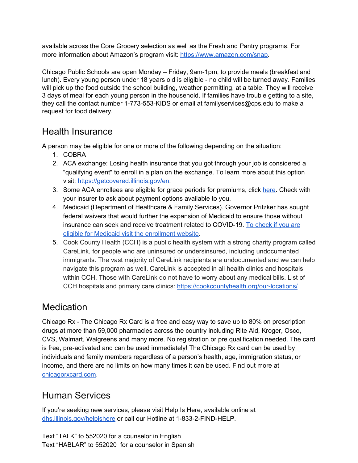available across the Core Grocery selection as well as the Fresh and Pantry programs. For more information about Amazon's program visit: <https://www.amazon.com/snap>.

Chicago Public Schools are open Monday – Friday, 9am-1pm, to provide meals (breakfast and lunch). Every young person under 18 years old is eligible - no child will be turned away. Families will pick up the food outside the school building, weather permitting, at a table. They will receive 3 days of meal for each young person in the household. If families have trouble getting to a site, they call the contact number 1-773-553-KIDS or email at familyservices@cps.edu to make a request for food delivery.

## Health Insurance

A person may be eligible for one or more of the following depending on the situation:

- 1. COBRA
- 2. ACA exchange: Losing health insurance that you got through your job is considered a "qualifying event" to enroll in a plan on the exchange. To learn more about this option visit: [https://getcovered.illinois.gov/en.](https://getcovered.illinois.gov/en)
- 3. Some ACA enrollees are eligible for grace periods for premiums, click [here.](https://www.healthcare.gov/glossary/grace-period/) Check with your insurer to ask about payment options available to you.
- 4. Medicaid (Department of Healthcare & Family Services). Governor Pritzker has sought federal waivers that would further the expansion of Medicaid to ensure those without insurance can seek and receive treatment related to COVID-19. To [check](https://www.illinois.gov/hfs/MedicalClients/Pages/AbeBenefits.aspx) if you are eligible for Medicaid visit the [enrollment](https://www.illinois.gov/hfs/MedicalClients/Pages/AbeBenefits.aspx) website.
- 5. Cook County Health (CCH) is a public health system with a strong charity program called CareLink, for people who are uninsured or undersinsured, including undocumented immigrants. The vast majority of CareLink recipients are undocumented and we can help navigate this program as well. CareLink is accepted in all health clinics and hospitals within CCH. Those with CareLink do not have to worry about any medical bills. List of CCH hospitals and primary care clinics: <https://cookcountyhealth.org/our-locations/>

# **Medication**

Chicago Rx - The Chicago Rx Card is a free and easy way to save up to 80% on prescription drugs at more than 59,000 pharmacies across the country including Rite Aid, Kroger, Osco, CVS, Walmart, Walgreens and many more. No registration or pre qualification needed. The card is free, pre-activated and can be used immediately! The Chicago Rx card can be used by individuals and family members regardless of a person's health, age, immigration status, or income, and there are no limits on how many times it can be used. Find out more at [chicagorxcard.com](https://www.chicagorxcard.com/).

# Human Services

If you're seeking new services, please visit Help Is Here, available online at [dhs.illinois.gov/helpishere](http://dhs.illinois.gov/helpishere) or call our Hotline at 1-833-2-FIND-HELP.

Text "TALK" to 552020 for a counselor in English Text "HABLAR" to 552020 for a counselor in Spanish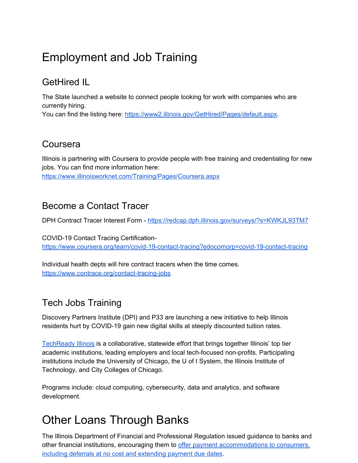# Employment and Job Training

# GetHired IL

The State launched a website to connect people looking for work with companies who are currently hiring.

You can find the listing here: <https://www2.illinois.gov/GetHired/Pages/default.aspx>.

## Coursera

Illinois is partnering with Coursera to provide people with free training and credentialing for new jobs. You can find more information here: <https://www.illinoisworknet.com/Training/Pages/Coursera.aspx>

## Become a Contact Tracer

DPH Contract Tracer Interest Form - <https://redcap.dph.illinois.gov/surveys/?s=KWKJL93TM7>

COVID-19 Contact Tracing Certification<https://www.coursera.org/learn/covid-19-contact-tracing?edocomorp=covid-19-contact-tracing>

Individual health depts will hire contract tracers when the time comes. <https://www.contrace.org/contact-tracing-jobs>

# Tech Jobs Training

Discovery Partners Institute (DPI) and P33 are launching a new initiative to help Illinois residents hurt by COVID-19 gain new digital skills at steeply discounted tuition rates.

[TechReady](https://www.techreadyillinois.com/) Illinois is a collaborative, statewide effort that brings together Illinois' top tier academic institutions, leading employers and local tech-focused non-profits. Participating institutions include the University of Chicago, the U of I System, the Illinois Institute of Technology, and City Colleges of Chicago.

Programs include: cloud computing, cybersecurity, data and analytics, and software development.

# Other Loans Through Banks

The Illinois Department of Financial and Professional Regulation issued guidance to banks and other financial institutions, encouraging them to offer payment [accommodations](https://www.idfpr.com/News/2020/2020%2003%2030%20IDFPR%20financial%20guidance.pdf) to consumers, including deferrals at no cost and [extending](https://www.idfpr.com/News/2020/2020%2003%2030%20IDFPR%20financial%20guidance.pdf) payment due dates.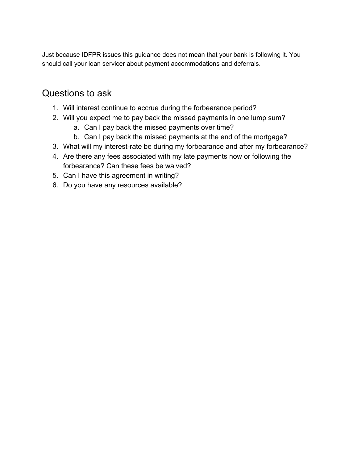Just because IDFPR issues this guidance does not mean that your bank is following it. You should call your loan servicer about payment accommodations and deferrals.

## Questions to ask

- 1. Will interest continue to accrue during the forbearance period?
- 2. Will you expect me to pay back the missed payments in one lump sum?
	- a. Can I pay back the missed payments over time?
	- b. Can I pay back the missed payments at the end of the mortgage?
- 3. What will my interest-rate be during my forbearance and after my forbearance?
- 4. Are there any fees associated with my late payments now or following the forbearance? Can these fees be waived?
- 5. Can I have this agreement in writing?
- 6. Do you have any resources available?